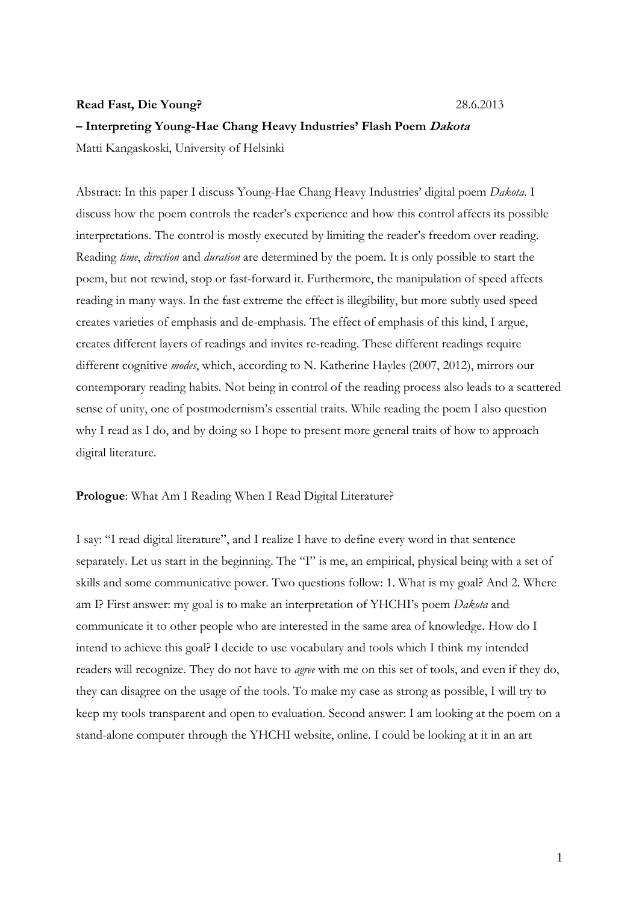### **Read Fast, Die Young?** 28.6.2013

## **– Interpreting Young-Hae Chang Heavy Industries' Flash Poem Dakota** Matti Kangaskoski, University of Helsinki

Abstract: In this paper I discuss Young-Hae Chang Heavy Industries' digital poem *Dakota*. I discuss how the poem controls the reader's experience and how this control affects its possible interpretations. The control is mostly executed by limiting the reader's freedom over reading. Reading *time*, *direction* and *duration* are determined by the poem. It is only possible to start the poem, but not rewind, stop or fast-forward it. Furthermore, the manipulation of speed affects reading in many ways. In the fast extreme the effect is illegibility, but more subtly used speed creates varieties of emphasis and de-emphasis. The effect of emphasis of this kind, I argue, creates different layers of readings and invites re-reading. These different readings require different cognitive *modes*, which, according to N. Katherine Hayles (2007, 2012), mirrors our contemporary reading habits. Not being in control of the reading process also leads to a scattered sense of unity, one of postmodernism's essential traits. While reading the poem I also question why I read as I do, and by doing so I hope to present more general traits of how to approach digital literature.

**Prologue**: What Am I Reading When I Read Digital Literature?

I say: "I read digital literature", and I realize I have to define every word in that sentence separately. Let us start in the beginning. The "I" is me, an empirical, physical being with a set of skills and some communicative power. Two questions follow: 1. What is my goal? And 2. Where am I? First answer: my goal is to make an interpretation of YHCHI's poem *Dakota* and communicate it to other people who are interested in the same area of knowledge. How do I intend to achieve this goal? I decide to use vocabulary and tools which I think my intended readers will recognize. They do not have to *agree* with me on this set of tools, and even if they do, they can disagree on the usage of the tools. To make my case as strong as possible, I will try to keep my tools transparent and open to evaluation. Second answer: I am looking at the poem on a stand-alone computer through the YHCHI website, online. I could be looking at it in an art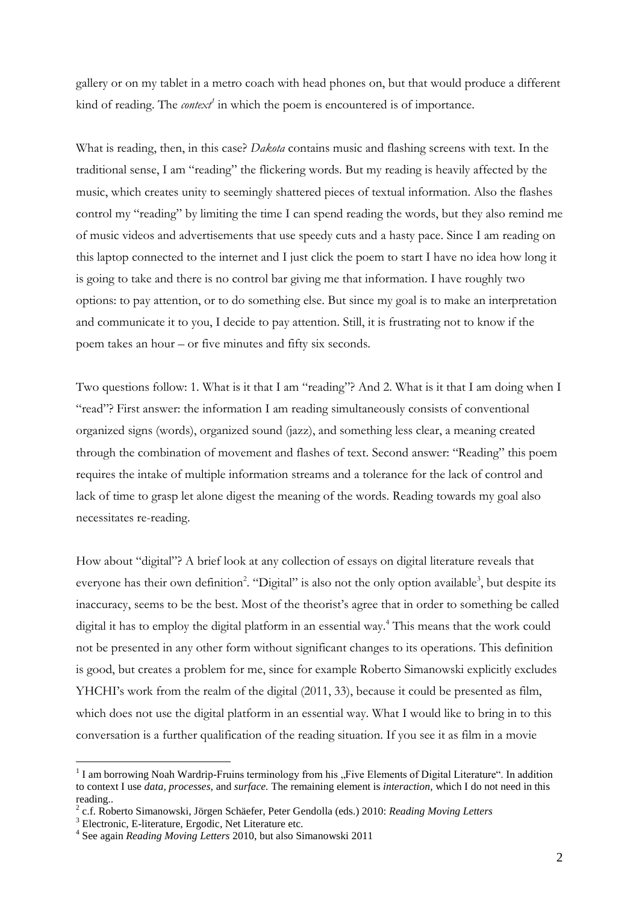gallery or on my tablet in a metro coach with head phones on, but that would produce a different kind of reading. The *context<sup>1</sup>* in which the poem is encountered is of importance.

What is reading, then, in this case? *Dakota* contains music and flashing screens with text. In the traditional sense, I am "reading" the flickering words. But my reading is heavily affected by the music, which creates unity to seemingly shattered pieces of textual information. Also the flashes control my "reading" by limiting the time I can spend reading the words, but they also remind me of music videos and advertisements that use speedy cuts and a hasty pace. Since I am reading on this laptop connected to the internet and I just click the poem to start I have no idea how long it is going to take and there is no control bar giving me that information. I have roughly two options: to pay attention, or to do something else. But since my goal is to make an interpretation and communicate it to you, I decide to pay attention. Still, it is frustrating not to know if the poem takes an hour – or five minutes and fifty six seconds.

Two questions follow: 1. What is it that I am "reading"? And 2. What is it that I am doing when I "read"? First answer: the information I am reading simultaneously consists of conventional organized signs (words), organized sound (jazz), and something less clear, a meaning created through the combination of movement and flashes of text. Second answer: "Reading" this poem requires the intake of multiple information streams and a tolerance for the lack of control and lack of time to grasp let alone digest the meaning of the words. Reading towards my goal also necessitates re-reading.

How about "digital"? A brief look at any collection of essays on digital literature reveals that everyone has their own definition<sup>2</sup>. "Digital" is also not the only option available<sup>3</sup>, but despite its inaccuracy, seems to be the best. Most of the theorist's agree that in order to something be called digital it has to employ the digital platform in an essential way.<sup>4</sup> This means that the work could not be presented in any other form without significant changes to its operations. This definition is good, but creates a problem for me, since for example Roberto Simanowski explicitly excludes YHCHI's work from the realm of the digital (2011, 33), because it could be presented as film, which does not use the digital platform in an essential way. What I would like to bring in to this conversation is a further qualification of the reading situation. If you see it as film in a movie

<u>.</u>

<sup>&</sup>lt;sup>1</sup> I am borrowing Noah Wardrip-Fruins terminology from his "Five Elements of Digital Literature". In addition to context I use *data, processes,* and *surface.* The remaining element is *interaction*, which I do not need in this reading..

<sup>2</sup> c.f. Roberto Simanowski, Jörgen Schäefer, Peter Gendolla (eds.) 2010: *Reading Moving Letters*

<sup>3</sup> Electronic, E-literature, Ergodic, Net Literature etc.

<sup>4</sup> See again *Reading Moving Letters* 2010, but also Simanowski 2011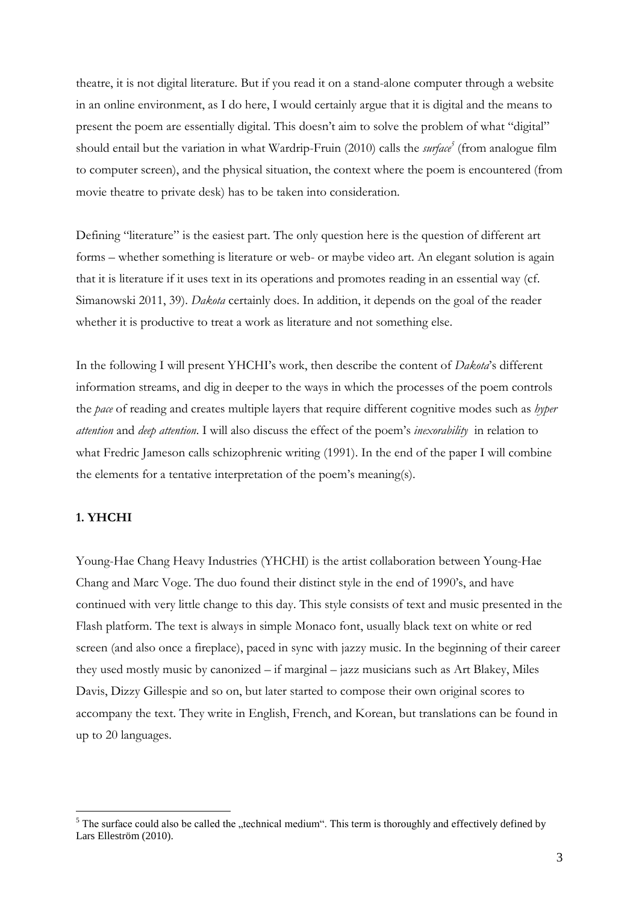theatre, it is not digital literature. But if you read it on a stand-alone computer through a website in an online environment, as I do here, I would certainly argue that it is digital and the means to present the poem are essentially digital. This doesn't aim to solve the problem of what "digital" should entail but the variation in what Wardrip-Fruin (2010) calls the *surface<sup>5</sup>* (from analogue film to computer screen), and the physical situation, the context where the poem is encountered (from movie theatre to private desk) has to be taken into consideration.

Defining "literature" is the easiest part. The only question here is the question of different art forms – whether something is literature or web- or maybe video art. An elegant solution is again that it is literature if it uses text in its operations and promotes reading in an essential way (cf. Simanowski 2011, 39). *Dakota* certainly does. In addition, it depends on the goal of the reader whether it is productive to treat a work as literature and not something else.

In the following I will present YHCHI's work, then describe the content of *Dakota*'s different information streams, and dig in deeper to the ways in which the processes of the poem controls the *pace* of reading and creates multiple layers that require different cognitive modes such as *hyper attention* and *deep attention*. I will also discuss the effect of the poem's *inexorability* in relation to what Fredric Jameson calls schizophrenic writing (1991). In the end of the paper I will combine the elements for a tentative interpretation of the poem's meaning(s).

### **1. YHCHI**

<u>.</u>

Young-Hae Chang Heavy Industries (YHCHI) is the artist collaboration between Young-Hae Chang and Marc Voge. The duo found their distinct style in the end of 1990's, and have continued with very little change to this day. This style consists of text and music presented in the Flash platform. The text is always in simple Monaco font, usually black text on white or red screen (and also once a fireplace), paced in sync with jazzy music. In the beginning of their career they used mostly music by canonized – if marginal – jazz musicians such as Art Blakey, Miles Davis, Dizzy Gillespie and so on, but later started to compose their own original scores to accompany the text. They write in English, French, and Korean, but translations can be found in up to 20 languages.

 $5$  The surface could also be called the "technical medium". This term is thoroughly and effectively defined by Lars Elleström (2010).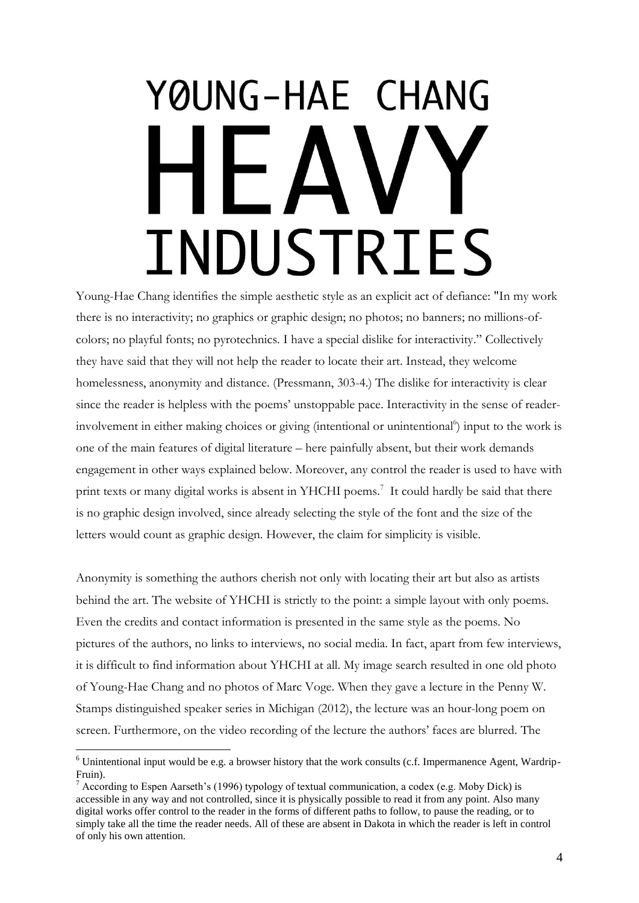# YØUNG-HAE CHANG INDUSTRIES

Young-Hae Chang identifies the simple aesthetic style as an explicit act of defiance: "In my work there is no interactivity; no graphics or graphic design; no photos; no banners; no millions-ofcolors; no playful fonts; no pyrotechnics. I have a special dislike for interactivity." Collectively they have said that they will not help the reader to locate their art. Instead, they welcome homelessness, anonymity and distance. (Pressmann, 303-4.) The dislike for interactivity is clear since the reader is helpless with the poems' unstoppable pace. Interactivity in the sense of readerinvolvement in either making choices or giving (intentional or unintentional<sup>6</sup>) input to the work is one of the main features of digital literature – here painfully absent, but their work demands engagement in other ways explained below. Moreover, any control the reader is used to have with print texts or many digital works is absent in YHCHI poems.<sup>7</sup> It could hardly be said that there is no graphic design involved, since already selecting the style of the font and the size of the letters would count as graphic design. However, the claim for simplicity is visible.

Anonymity is something the authors cherish not only with locating their art but also as artists behind the art. The website of YHCHI is strictly to the point: a simple layout with only poems. Even the credits and contact information is presented in the same style as the poems. No pictures of the authors, no links to interviews, no social media. In fact, apart from few interviews, it is difficult to find information about YHCHI at all. My image search resulted in one old photo of Young-Hae Chang and no photos of Marc Voge. When they gave a lecture in the Penny W. Stamps distinguished speaker series in Michigan (2012), the lecture was an hour-long poem on screen. Furthermore, on the video recording of the lecture the authors' faces are blurred. The

 $6$  Unintentional input would be e.g. a browser history that the work consults (c.f. Impermanence Agent, Wardrip-Fruin).

<sup>&</sup>lt;sup>7</sup> According to Espen Aarseth's (1996) typology of textual communication, a codex (e.g. Moby Dick) is accessible in any way and not controlled, since it is physically possible to read it from any point. Also many digital works offer control to the reader in the forms of different paths to follow, to pause the reading, or to simply take all the time the reader needs. All of these are absent in Dakota in which the reader is left in control of only his own attention.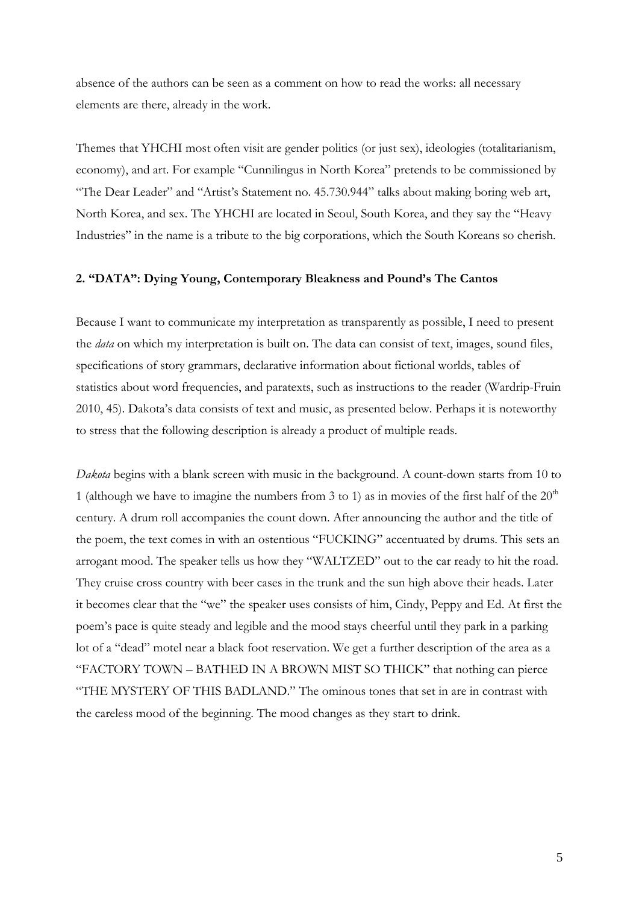absence of the authors can be seen as a comment on how to read the works: all necessary elements are there, already in the work.

Themes that YHCHI most often visit are gender politics (or just sex), ideologies (totalitarianism, economy), and art. For example "Cunnilingus in North Korea" pretends to be commissioned by "The Dear Leader" and "Artist's Statement no. 45.730.944" talks about making boring web art, North Korea, and sex. The YHCHI are located in Seoul, South Korea, and they say the "Heavy Industries" in the name is a tribute to the big corporations, which the South Koreans so cherish.

### **2. "DATA": Dying Young, Contemporary Bleakness and Pound's The Cantos**

Because I want to communicate my interpretation as transparently as possible, I need to present the *data* on which my interpretation is built on. The data can consist of text, images, sound files, specifications of story grammars, declarative information about fictional worlds, tables of statistics about word frequencies, and paratexts, such as instructions to the reader (Wardrip-Fruin 2010, 45). Dakota's data consists of text and music, as presented below. Perhaps it is noteworthy to stress that the following description is already a product of multiple reads.

*Dakota* begins with a blank screen with music in the background. A count-down starts from 10 to 1 (although we have to imagine the numbers from 3 to 1) as in movies of the first half of the  $20<sup>th</sup>$ century. A drum roll accompanies the count down. After announcing the author and the title of the poem, the text comes in with an ostentious "FUCKING" accentuated by drums. This sets an arrogant mood. The speaker tells us how they "WALTZED" out to the car ready to hit the road. They cruise cross country with beer cases in the trunk and the sun high above their heads. Later it becomes clear that the "we" the speaker uses consists of him, Cindy, Peppy and Ed. At first the poem's pace is quite steady and legible and the mood stays cheerful until they park in a parking lot of a "dead" motel near a black foot reservation. We get a further description of the area as a "FACTORY TOWN – BATHED IN A BROWN MIST SO THICK" that nothing can pierce "THE MYSTERY OF THIS BADLAND." The ominous tones that set in are in contrast with the careless mood of the beginning. The mood changes as they start to drink.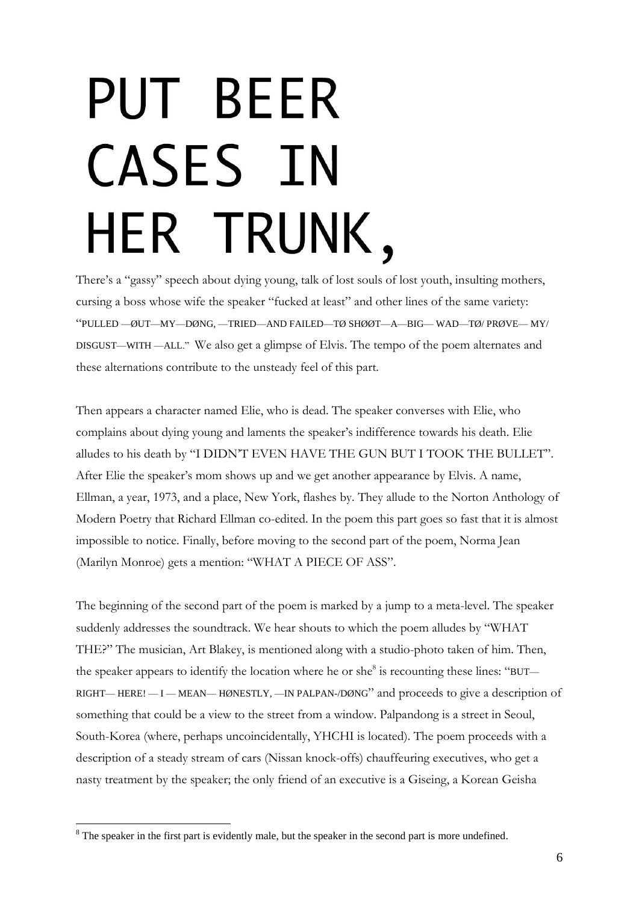## PUT BEER **CASES IN** HER TRUNK,

There's a "gassy" speech about dying young, talk of lost souls of lost youth, insulting mothers, cursing a boss whose wife the speaker "fucked at least" and other lines of the same variety: "PULLED —ØUT—MY—DØNG, —TRIED—AND FAILED—TØ SHØØT—A—BIG— WAD—TØ/ PRØVE— MY/ DISGUST—WITH —ALL." We also get a glimpse of Elvis. The tempo of the poem alternates and these alternations contribute to the unsteady feel of this part.

Then appears a character named Elie, who is dead. The speaker converses with Elie, who complains about dying young and laments the speaker's indifference towards his death. Elie alludes to his death by "I DIDN'T EVEN HAVE THE GUN BUT I TOOK THE BULLET". After Elie the speaker's mom shows up and we get another appearance by Elvis. A name, Ellman, a year, 1973, and a place, New York, flashes by. They allude to the Norton Anthology of Modern Poetry that Richard Ellman co-edited. In the poem this part goes so fast that it is almost impossible to notice. Finally, before moving to the second part of the poem, Norma Jean (Marilyn Monroe) gets a mention: "WHAT A PIECE OF ASS".

The beginning of the second part of the poem is marked by a jump to a meta-level. The speaker suddenly addresses the soundtrack. We hear shouts to which the poem alludes by "WHAT THE?" The musician, Art Blakey, is mentioned along with a studio-photo taken of him. Then, the speaker appears to identify the location where he or she $8$  is recounting these lines: "BUT-RIGHT— HERE! — I — MEAN— HØNESTLY, —IN PALPAN-/DØNG" and proceeds to give a description of something that could be a view to the street from a window. Palpandong is a street in Seoul, South-Korea (where, perhaps uncoincidentally, YHCHI is located). The poem proceeds with a description of a steady stream of cars (Nissan knock-offs) chauffeuring executives, who get a nasty treatment by the speaker; the only friend of an executive is a Giseing, a Korean Geisha

<sup>&</sup>lt;sup>8</sup> The speaker in the first part is evidently male, but the speaker in the second part is more undefined.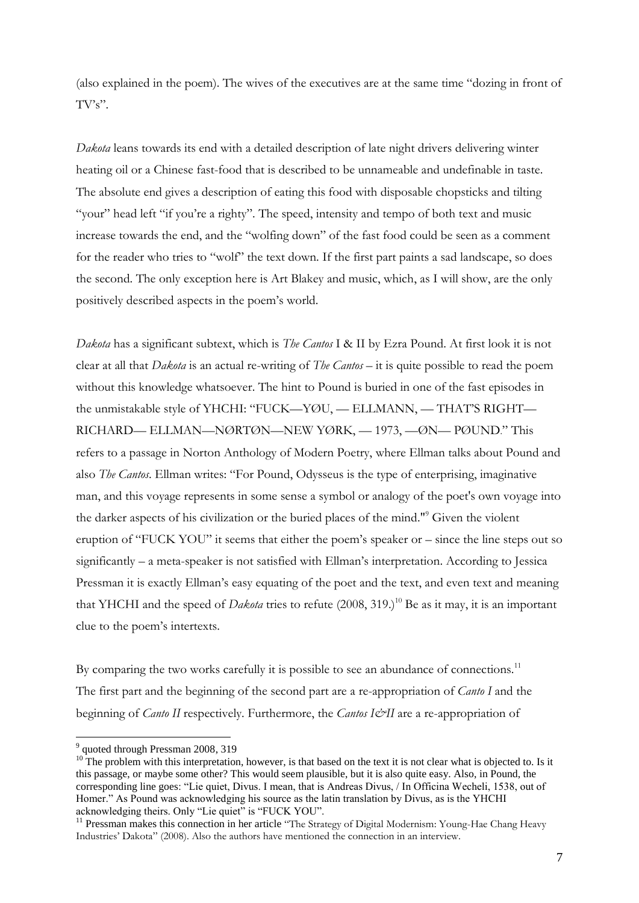(also explained in the poem). The wives of the executives are at the same time "dozing in front of TV's".

*Dakota* leans towards its end with a detailed description of late night drivers delivering winter heating oil or a Chinese fast-food that is described to be unnameable and undefinable in taste. The absolute end gives a description of eating this food with disposable chopsticks and tilting "your" head left "if you're a righty". The speed, intensity and tempo of both text and music increase towards the end, and the "wolfing down" of the fast food could be seen as a comment for the reader who tries to "wolf" the text down. If the first part paints a sad landscape, so does the second. The only exception here is Art Blakey and music, which, as I will show, are the only positively described aspects in the poem's world.

*Dakota* has a significant subtext, which is *The Cantos* I & II by Ezra Pound. At first look it is not clear at all that *Dakota* is an actual re-writing of *The Cantos* – it is quite possible to read the poem without this knowledge whatsoever. The hint to Pound is buried in one of the fast episodes in the unmistakable style of YHCHI: "FUCK—YØU, — ELLMANN, — THAT'S RIGHT— RICHARD— ELLMAN—NØRTØN—NEW YØRK, — 1973, —ØN— PØUND." This refers to a passage in Norton Anthology of Modern Poetry, where Ellman talks about Pound and also *The Cantos*. Ellman writes: "For Pound, Odysseus is the type of enterprising, imaginative man, and this voyage represents in some sense a symbol or analogy of the poet's own voyage into the darker aspects of his civilization or the buried places of the mind."<sup>9</sup> Given the violent eruption of "FUCK YOU" it seems that either the poem's speaker or – since the line steps out so significantly – a meta-speaker is not satisfied with Ellman's interpretation. According to Jessica Pressman it is exactly Ellman's easy equating of the poet and the text, and even text and meaning that YHCHI and the speed of *Dakota* tries to refute  $(2008, 319.)^{10}$  Be as it may, it is an important clue to the poem's intertexts.

By comparing the two works carefully it is possible to see an abundance of connections.<sup>11</sup> The first part and the beginning of the second part are a re-appropriation of *Canto I* and the beginning of *Canto II* respectively. Furthermore, the *Cantos I&II* are a re-appropriation of

<u>.</u>

<sup>&</sup>lt;sup>9</sup> quoted through Pressman 2008, 319

 $10$  The problem with this interpretation, however, is that based on the text it is not clear what is objected to. Is it this passage, or maybe some other? This would seem plausible, but it is also quite easy. Also, in Pound, the corresponding line goes: "Lie quiet, Divus. I mean, that is Andreas Divus, / In Officina Wecheli, 1538, out of Homer." As Pound was acknowledging his source as the latin translation by Divus, as is the YHCHI acknowledging theirs. Only "Lie quiet" is "FUCK YOU".

<sup>&</sup>lt;sup>11</sup> Pressman makes this connection in her article "The Strategy of Digital Modernism: Young-Hae Chang Heavy Industries' Dakota" (2008). Also the authors have mentioned the connection in an interview.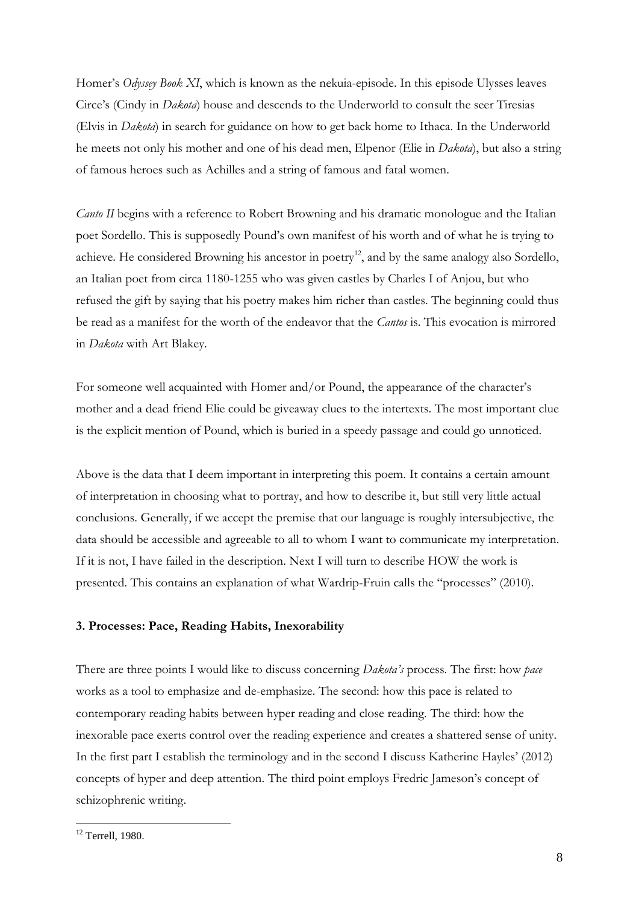Homer's *Odyssey Book XI*, which is known as the nekuia-episode. In this episode Ulysses leaves Circe's (Cindy in *Dakota*) house and descends to the Underworld to consult the seer Tiresias (Elvis in *Dakota*) in search for guidance on how to get back home to Ithaca. In the Underworld he meets not only his mother and one of his dead men, Elpenor (Elie in *Dakota*), but also a string of famous heroes such as Achilles and a string of famous and fatal women.

*Canto II* begins with a reference to Robert Browning and his dramatic monologue and the Italian poet Sordello. This is supposedly Pound's own manifest of his worth and of what he is trying to achieve. He considered Browning his ancestor in poetry<sup>12</sup>, and by the same analogy also Sordello, an Italian poet from circa 1180-1255 who was given castles by Charles I of Anjou, but who refused the gift by saying that his poetry makes him richer than castles. The beginning could thus be read as a manifest for the worth of the endeavor that the *Cantos* is. This evocation is mirrored in *Dakota* with Art Blakey.

For someone well acquainted with Homer and/or Pound, the appearance of the character's mother and a dead friend Elie could be giveaway clues to the intertexts. The most important clue is the explicit mention of Pound, which is buried in a speedy passage and could go unnoticed.

Above is the data that I deem important in interpreting this poem. It contains a certain amount of interpretation in choosing what to portray, and how to describe it, but still very little actual conclusions. Generally, if we accept the premise that our language is roughly intersubjective, the data should be accessible and agreeable to all to whom I want to communicate my interpretation. If it is not, I have failed in the description. Next I will turn to describe HOW the work is presented. This contains an explanation of what Wardrip-Fruin calls the "processes" (2010).

### **3. Processes: Pace, Reading Habits, Inexorability**

There are three points I would like to discuss concerning *Dakota's* process. The first: how *pace* works as a tool to emphasize and de-emphasize. The second: how this pace is related to contemporary reading habits between hyper reading and close reading. The third: how the inexorable pace exerts control over the reading experience and creates a shattered sense of unity. In the first part I establish the terminology and in the second I discuss Katherine Hayles' (2012) concepts of hyper and deep attention. The third point employs Fredric Jameson's concept of schizophrenic writing.

 $12$  Terrell, 1980.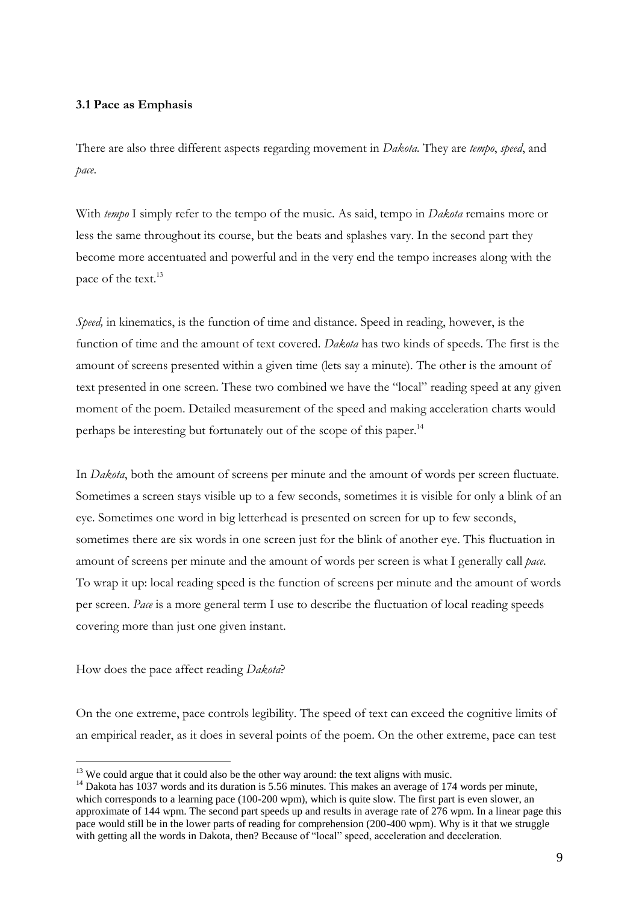### **3.1 Pace as Emphasis**

There are also three different aspects regarding movement in *Dakota.* They are *tempo*, *speed*, and *pace*.

With *tempo* I simply refer to the tempo of the music. As said, tempo in *Dakota* remains more or less the same throughout its course, but the beats and splashes vary. In the second part they become more accentuated and powerful and in the very end the tempo increases along with the pace of the text.<sup>13</sup>

*Speed,* in kinematics, is the function of time and distance. Speed in reading, however, is the function of time and the amount of text covered. *Dakota* has two kinds of speeds. The first is the amount of screens presented within a given time (lets say a minute). The other is the amount of text presented in one screen. These two combined we have the "local" reading speed at any given moment of the poem. Detailed measurement of the speed and making acceleration charts would perhaps be interesting but fortunately out of the scope of this paper.<sup>14</sup>

In *Dakota*, both the amount of screens per minute and the amount of words per screen fluctuate. Sometimes a screen stays visible up to a few seconds, sometimes it is visible for only a blink of an eye. Sometimes one word in big letterhead is presented on screen for up to few seconds, sometimes there are six words in one screen just for the blink of another eye. This fluctuation in amount of screens per minute and the amount of words per screen is what I generally call *pace*. To wrap it up: local reading speed is the function of screens per minute and the amount of words per screen. *Pace* is a more general term I use to describe the fluctuation of local reading speeds covering more than just one given instant.

### How does the pace affect reading *Dakota*?

<u>.</u>

On the one extreme, pace controls legibility. The speed of text can exceed the cognitive limits of an empirical reader, as it does in several points of the poem. On the other extreme, pace can test

 $13$  We could argue that it could also be the other way around: the text aligns with music.

<sup>&</sup>lt;sup>14</sup> Dakota has 1037 words and its duration is 5.56 minutes. This makes an average of 174 words per minute, which corresponds to a learning pace (100-200 wpm), which is quite slow. The first part is even slower, an approximate of 144 wpm. The second part speeds up and results in average rate of 276 wpm. In a linear page this pace would still be in the lower parts of reading for comprehension (200-400 wpm). Why is it that we struggle with getting all the words in Dakota, then? Because of "local" speed, acceleration and deceleration.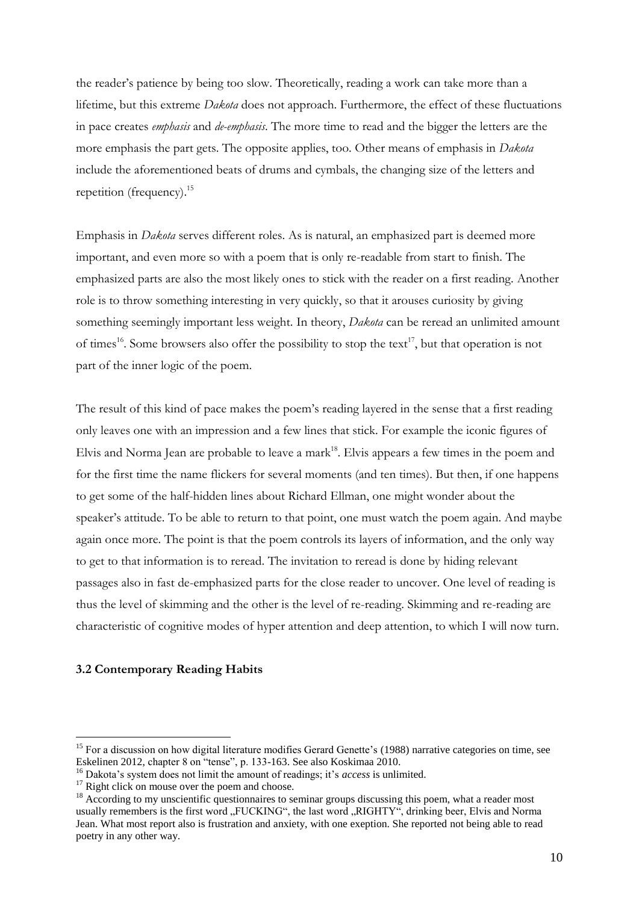the reader's patience by being too slow. Theoretically, reading a work can take more than a lifetime, but this extreme *Dakota* does not approach. Furthermore, the effect of these fluctuations in pace creates *emphasis* and *de-emphasis*. The more time to read and the bigger the letters are the more emphasis the part gets. The opposite applies, too. Other means of emphasis in *Dakota* include the aforementioned beats of drums and cymbals, the changing size of the letters and repetition (frequency).<sup>15</sup>

Emphasis in *Dakota* serves different roles. As is natural, an emphasized part is deemed more important, and even more so with a poem that is only re-readable from start to finish. The emphasized parts are also the most likely ones to stick with the reader on a first reading. Another role is to throw something interesting in very quickly, so that it arouses curiosity by giving something seemingly important less weight. In theory, *Dakota* can be reread an unlimited amount of times<sup>16</sup>. Some browsers also offer the possibility to stop the text<sup>17</sup>, but that operation is not part of the inner logic of the poem.

The result of this kind of pace makes the poem's reading layered in the sense that a first reading only leaves one with an impression and a few lines that stick. For example the iconic figures of Elvis and Norma Jean are probable to leave a mark<sup>18</sup>. Elvis appears a few times in the poem and for the first time the name flickers for several moments (and ten times). But then, if one happens to get some of the half-hidden lines about Richard Ellman, one might wonder about the speaker's attitude. To be able to return to that point, one must watch the poem again. And maybe again once more. The point is that the poem controls its layers of information, and the only way to get to that information is to reread. The invitation to reread is done by hiding relevant passages also in fast de-emphasized parts for the close reader to uncover. One level of reading is thus the level of skimming and the other is the level of re-reading. Skimming and re-reading are characteristic of cognitive modes of hyper attention and deep attention, to which I will now turn.

### **3.2 Contemporary Reading Habits**

<sup>&</sup>lt;sup>15</sup> For a discussion on how digital literature modifies Gerard Genette's (1988) narrative categories on time, see Eskelinen 2012, chapter 8 on "tense", p. 133-163. See also Koskimaa 2010.

<sup>&</sup>lt;sup>16</sup> Dakota's system does not limit the amount of readings; it's *access* is unlimited.

 $17$  Right click on mouse over the poem and choose.

<sup>&</sup>lt;sup>18</sup> According to my unscientific questionnaires to seminar groups discussing this poem, what a reader most usually remembers is the first word "FUCKING", the last word "RIGHTY", drinking beer, Elvis and Norma Jean. What most report also is frustration and anxiety, with one exeption. She reported not being able to read poetry in any other way.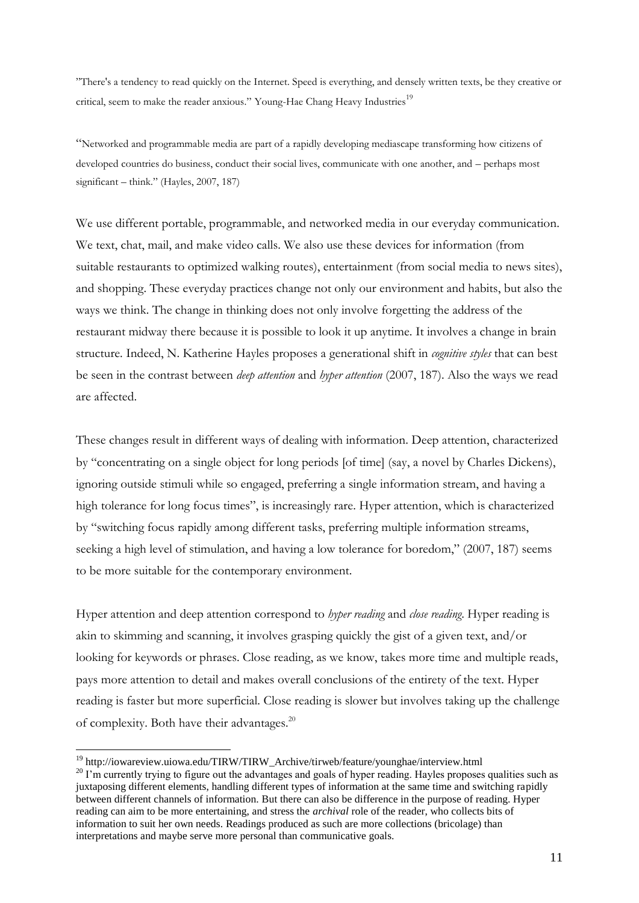"There's a tendency to read quickly on the Internet. Speed is everything, and densely written texts, be they creative or critical, seem to make the reader anxious." Young-Hae Chang Heavy Industries<sup>19</sup>

"Networked and programmable media are part of a rapidly developing mediascape transforming how citizens of developed countries do business, conduct their social lives, communicate with one another, and – perhaps most significant – think." (Hayles, 2007, 187)

We use different portable, programmable, and networked media in our everyday communication. We text, chat, mail, and make video calls. We also use these devices for information (from suitable restaurants to optimized walking routes), entertainment (from social media to news sites), and shopping. These everyday practices change not only our environment and habits, but also the ways we think. The change in thinking does not only involve forgetting the address of the restaurant midway there because it is possible to look it up anytime. It involves a change in brain structure. Indeed, N. Katherine Hayles proposes a generational shift in *cognitive styles* that can best be seen in the contrast between *deep attention* and *hyper attention* (2007, 187). Also the ways we read are affected.

These changes result in different ways of dealing with information. Deep attention, characterized by "concentrating on a single object for long periods [of time] (say, a novel by Charles Dickens), ignoring outside stimuli while so engaged, preferring a single information stream, and having a high tolerance for long focus times", is increasingly rare. Hyper attention, which is characterized by "switching focus rapidly among different tasks, preferring multiple information streams, seeking a high level of stimulation, and having a low tolerance for boredom," (2007, 187) seems to be more suitable for the contemporary environment.

Hyper attention and deep attention correspond to *hyper reading* and *close reading*. Hyper reading is akin to skimming and scanning, it involves grasping quickly the gist of a given text, and/or looking for keywords or phrases. Close reading, as we know, takes more time and multiple reads, pays more attention to detail and makes overall conclusions of the entirety of the text. Hyper reading is faster but more superficial. Close reading is slower but involves taking up the challenge of complexity. Both have their advantages.<sup>20</sup>

<sup>&</sup>lt;sup>19</sup> http://iowareview.uiowa.edu/TIRW/TIRW\_Archive/tirweb/feature/younghae/interview.html

 $20 \text{ P}$  m currently trying to figure out the advantages and goals of hyper reading. Hayles proposes qualities such as juxtaposing different elements, handling different types of information at the same time and switching rapidly between different channels of information. But there can also be difference in the purpose of reading. Hyper reading can aim to be more entertaining, and stress the *archival* role of the reader, who collects bits of information to suit her own needs. Readings produced as such are more collections (bricolage) than interpretations and maybe serve more personal than communicative goals.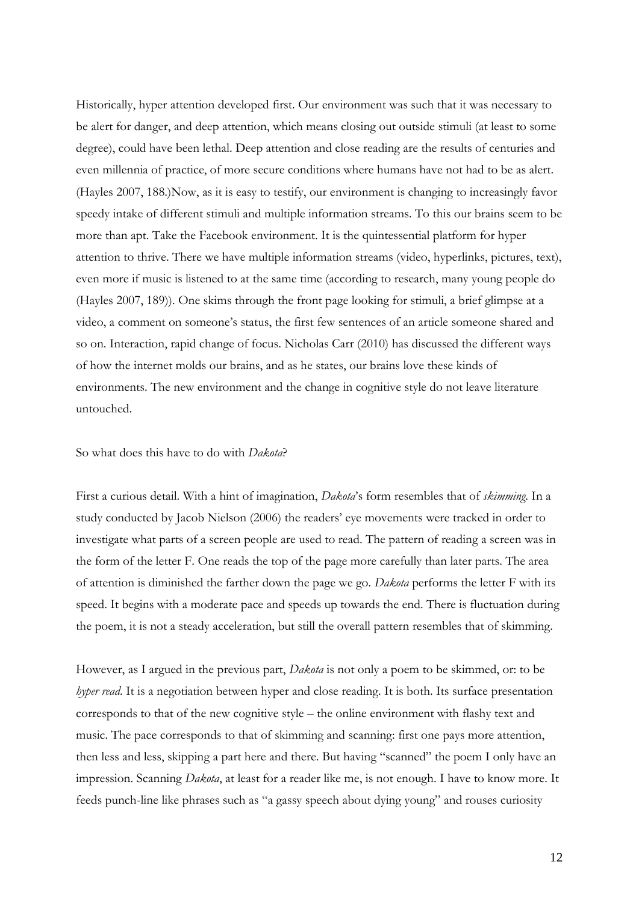Historically, hyper attention developed first. Our environment was such that it was necessary to be alert for danger, and deep attention, which means closing out outside stimuli (at least to some degree), could have been lethal. Deep attention and close reading are the results of centuries and even millennia of practice, of more secure conditions where humans have not had to be as alert. (Hayles 2007, 188.)Now, as it is easy to testify, our environment is changing to increasingly favor speedy intake of different stimuli and multiple information streams. To this our brains seem to be more than apt. Take the Facebook environment. It is the quintessential platform for hyper attention to thrive. There we have multiple information streams (video, hyperlinks, pictures, text), even more if music is listened to at the same time (according to research, many young people do (Hayles 2007, 189)). One skims through the front page looking for stimuli, a brief glimpse at a video, a comment on someone's status, the first few sentences of an article someone shared and so on. Interaction, rapid change of focus. Nicholas Carr (2010) has discussed the different ways of how the internet molds our brains, and as he states, our brains love these kinds of environments. The new environment and the change in cognitive style do not leave literature untouched.

### So what does this have to do with *Dakota*?

First a curious detail. With a hint of imagination, *Dakota*'s form resembles that of *skimming*. In a study conducted by Jacob Nielson (2006) the readers' eye movements were tracked in order to investigate what parts of a screen people are used to read. The pattern of reading a screen was in the form of the letter F. One reads the top of the page more carefully than later parts. The area of attention is diminished the farther down the page we go. *Dakota* performs the letter F with its speed. It begins with a moderate pace and speeds up towards the end. There is fluctuation during the poem, it is not a steady acceleration, but still the overall pattern resembles that of skimming.

However, as I argued in the previous part, *Dakota* is not only a poem to be skimmed, or: to be *hyper read*. It is a negotiation between hyper and close reading. It is both. Its surface presentation corresponds to that of the new cognitive style – the online environment with flashy text and music. The pace corresponds to that of skimming and scanning: first one pays more attention, then less and less, skipping a part here and there. But having "scanned" the poem I only have an impression. Scanning *Dakota*, at least for a reader like me, is not enough. I have to know more. It feeds punch-line like phrases such as "a gassy speech about dying young" and rouses curiosity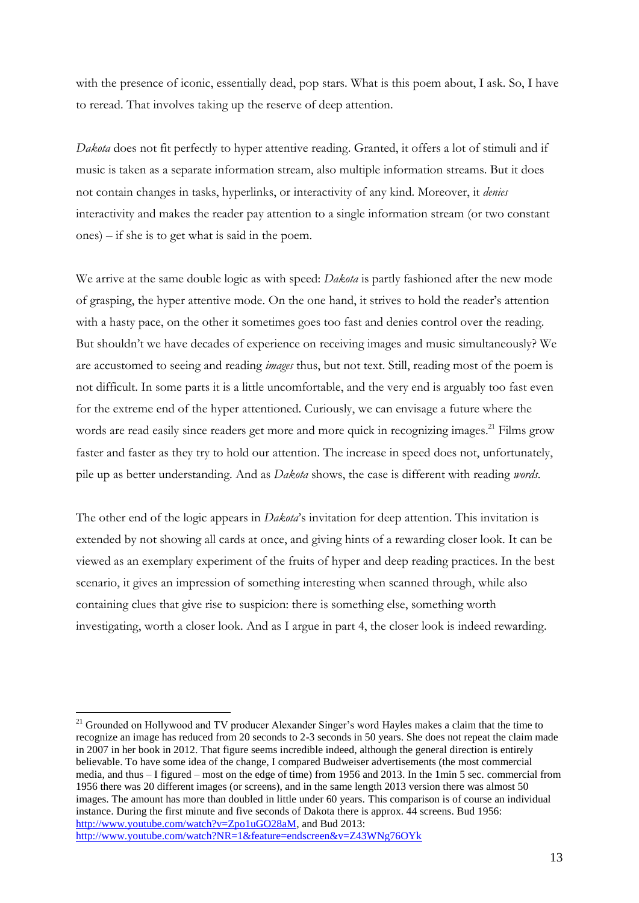with the presence of iconic, essentially dead, pop stars. What is this poem about, I ask. So, I have to reread. That involves taking up the reserve of deep attention.

*Dakota* does not fit perfectly to hyper attentive reading. Granted, it offers a lot of stimuli and if music is taken as a separate information stream, also multiple information streams. But it does not contain changes in tasks, hyperlinks, or interactivity of any kind. Moreover, it *denies* interactivity and makes the reader pay attention to a single information stream (or two constant ones) – if she is to get what is said in the poem.

We arrive at the same double logic as with speed: *Dakota* is partly fashioned after the new mode of grasping, the hyper attentive mode. On the one hand, it strives to hold the reader's attention with a hasty pace, on the other it sometimes goes too fast and denies control over the reading. But shouldn't we have decades of experience on receiving images and music simultaneously? We are accustomed to seeing and reading *images* thus, but not text. Still, reading most of the poem is not difficult. In some parts it is a little uncomfortable, and the very end is arguably too fast even for the extreme end of the hyper attentioned. Curiously, we can envisage a future where the words are read easily since readers get more and more quick in recognizing images.<sup>21</sup> Films grow faster and faster as they try to hold our attention. The increase in speed does not, unfortunately, pile up as better understanding. And as *Dakota* shows, the case is different with reading *words*.

The other end of the logic appears in *Dakota*'s invitation for deep attention. This invitation is extended by not showing all cards at once, and giving hints of a rewarding closer look. It can be viewed as an exemplary experiment of the fruits of hyper and deep reading practices. In the best scenario, it gives an impression of something interesting when scanned through, while also containing clues that give rise to suspicion: there is something else, something worth investigating, worth a closer look. And as I argue in part 4, the closer look is indeed rewarding.

<sup>&</sup>lt;sup>21</sup> Grounded on Hollywood and TV producer Alexander Singer's word Hayles makes a claim that the time to recognize an image has reduced from 20 seconds to 2-3 seconds in 50 years. She does not repeat the claim made in 2007 in her book in 2012. That figure seems incredible indeed, although the general direction is entirely believable. To have some idea of the change, I compared Budweiser advertisements (the most commercial media, and thus – I figured – most on the edge of time) from 1956 and 2013. In the 1min 5 sec. commercial from 1956 there was 20 different images (or screens), and in the same length 2013 version there was almost 50 images. The amount has more than doubled in little under 60 years. This comparison is of course an individual instance. During the first minute and five seconds of Dakota there is approx. 44 screens. Bud 1956: [http://www.youtube.com/watch?v=Zpo1uGO28aM,](http://www.youtube.com/watch?v=Zpo1uGO28aM) and Bud 2013: <http://www.youtube.com/watch?NR=1&feature=endscreen&v=Z43WNg76OYk>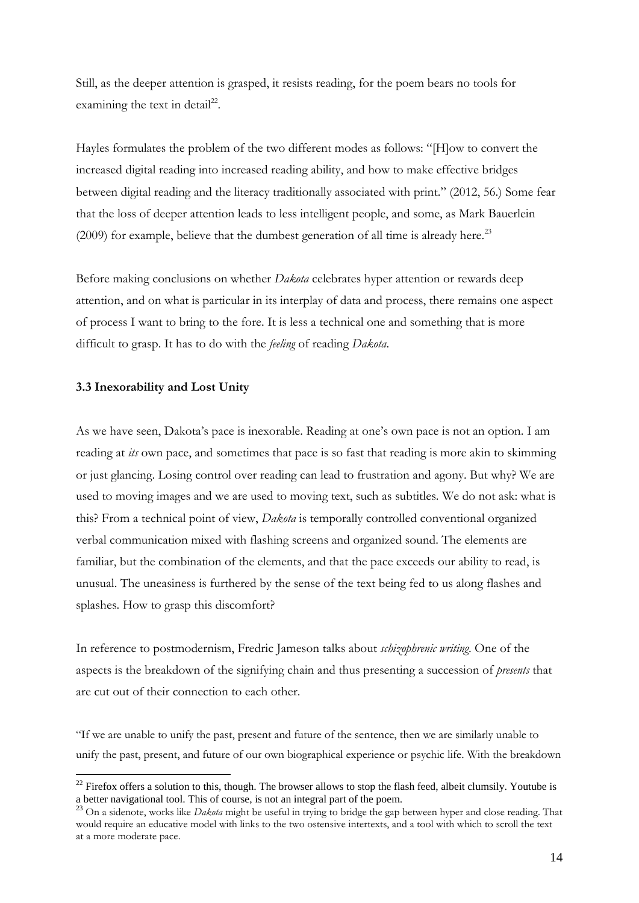Still, as the deeper attention is grasped, it resists reading, for the poem bears no tools for examining the text in detail $^{22}$ .

Hayles formulates the problem of the two different modes as follows: "[H]ow to convert the increased digital reading into increased reading ability, and how to make effective bridges between digital reading and the literacy traditionally associated with print." (2012, 56.) Some fear that the loss of deeper attention leads to less intelligent people, and some, as Mark Bauerlein (2009) for example, believe that the dumbest generation of all time is already here.<sup>23</sup>

Before making conclusions on whether *Dakota* celebrates hyper attention or rewards deep attention, and on what is particular in its interplay of data and process, there remains one aspect of process I want to bring to the fore. It is less a technical one and something that is more difficult to grasp. It has to do with the *feeling* of reading *Dakota*.

### **3.3 Inexorability and Lost Unity**

1

As we have seen, Dakota's pace is inexorable. Reading at one's own pace is not an option. I am reading at *its* own pace, and sometimes that pace is so fast that reading is more akin to skimming or just glancing. Losing control over reading can lead to frustration and agony. But why? We are used to moving images and we are used to moving text, such as subtitles. We do not ask: what is this? From a technical point of view, *Dakota* is temporally controlled conventional organized verbal communication mixed with flashing screens and organized sound. The elements are familiar, but the combination of the elements, and that the pace exceeds our ability to read, is unusual. The uneasiness is furthered by the sense of the text being fed to us along flashes and splashes. How to grasp this discomfort?

In reference to postmodernism, Fredric Jameson talks about *schizophrenic writing*. One of the aspects is the breakdown of the signifying chain and thus presenting a succession of *presents* that are cut out of their connection to each other.

"If we are unable to unify the past, present and future of the sentence, then we are similarly unable to unify the past, present, and future of our own biographical experience or psychic life. With the breakdown

 $^{22}$  Firefox offers a solution to this, though. The browser allows to stop the flash feed, albeit clumsily. Youtube is a better navigational tool. This of course, is not an integral part of the poem.

<sup>&</sup>lt;sup>23</sup> On a sidenote, works like *Dakota* might be useful in trying to bridge the gap between hyper and close reading. That would require an educative model with links to the two ostensive intertexts, and a tool with which to scroll the text at a more moderate pace.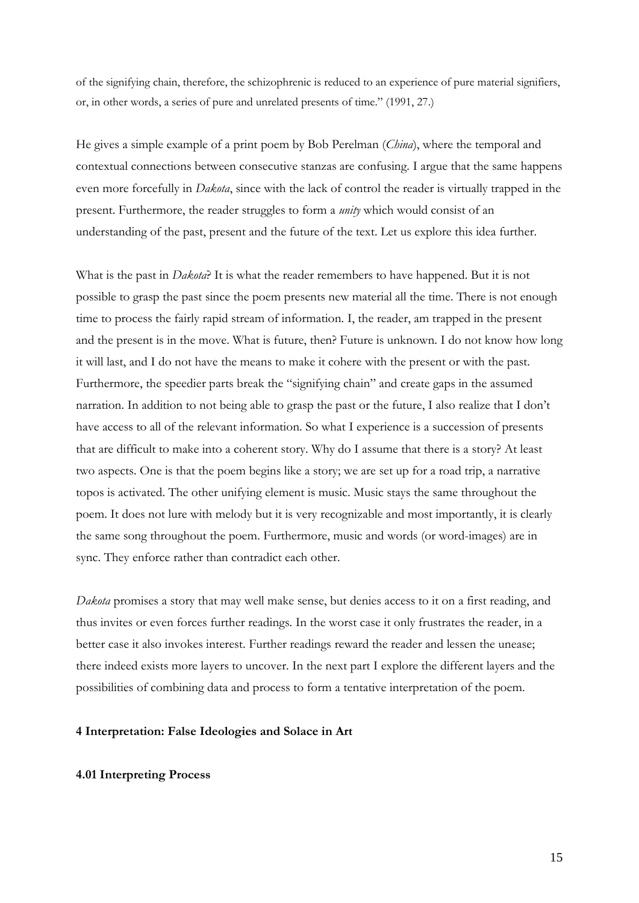of the signifying chain, therefore, the schizophrenic is reduced to an experience of pure material signifiers, or, in other words, a series of pure and unrelated presents of time." (1991, 27.)

He gives a simple example of a print poem by Bob Perelman (*China*), where the temporal and contextual connections between consecutive stanzas are confusing. I argue that the same happens even more forcefully in *Dakota*, since with the lack of control the reader is virtually trapped in the present. Furthermore, the reader struggles to form a *unity* which would consist of an understanding of the past, present and the future of the text. Let us explore this idea further.

What is the past in *Dakota*? It is what the reader remembers to have happened. But it is not possible to grasp the past since the poem presents new material all the time. There is not enough time to process the fairly rapid stream of information. I, the reader, am trapped in the present and the present is in the move. What is future, then? Future is unknown. I do not know how long it will last, and I do not have the means to make it cohere with the present or with the past. Furthermore, the speedier parts break the "signifying chain" and create gaps in the assumed narration. In addition to not being able to grasp the past or the future, I also realize that I don't have access to all of the relevant information. So what I experience is a succession of presents that are difficult to make into a coherent story. Why do I assume that there is a story? At least two aspects. One is that the poem begins like a story; we are set up for a road trip, a narrative topos is activated. The other unifying element is music. Music stays the same throughout the poem. It does not lure with melody but it is very recognizable and most importantly, it is clearly the same song throughout the poem. Furthermore, music and words (or word-images) are in sync. They enforce rather than contradict each other.

*Dakota* promises a story that may well make sense, but denies access to it on a first reading, and thus invites or even forces further readings. In the worst case it only frustrates the reader, in a better case it also invokes interest. Further readings reward the reader and lessen the unease; there indeed exists more layers to uncover. In the next part I explore the different layers and the possibilities of combining data and process to form a tentative interpretation of the poem.

### **4 Interpretation: False Ideologies and Solace in Art**

### **4.01 Interpreting Process**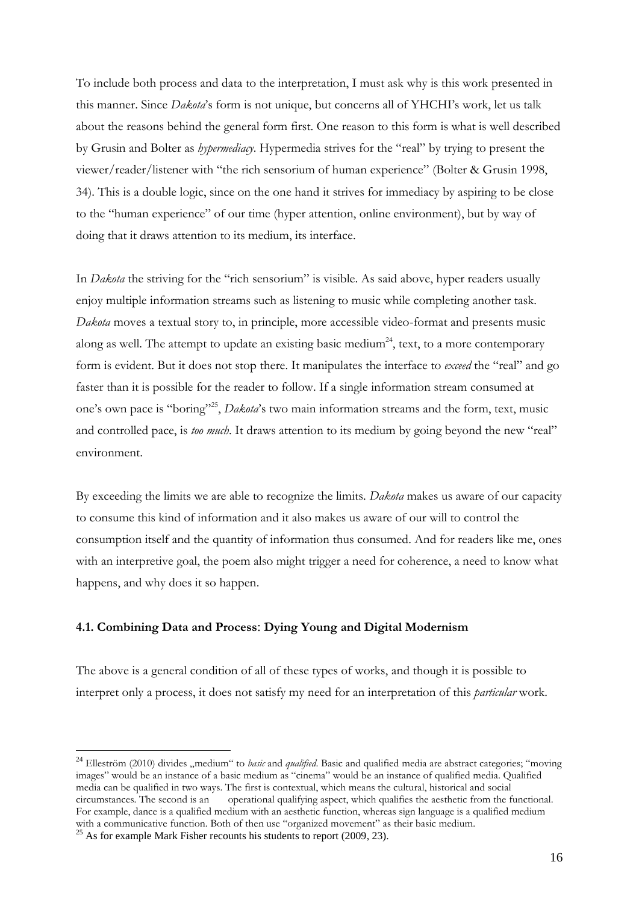To include both process and data to the interpretation, I must ask why is this work presented in this manner. Since *Dakota*'s form is not unique, but concerns all of YHCHI's work, let us talk about the reasons behind the general form first. One reason to this form is what is well described by Grusin and Bolter as *hypermediacy*. Hypermedia strives for the "real" by trying to present the viewer/reader/listener with "the rich sensorium of human experience" (Bolter & Grusin 1998, 34). This is a double logic, since on the one hand it strives for immediacy by aspiring to be close to the "human experience" of our time (hyper attention, online environment), but by way of doing that it draws attention to its medium, its interface.

In *Dakota* the striving for the "rich sensorium" is visible. As said above, hyper readers usually enjoy multiple information streams such as listening to music while completing another task. *Dakota* moves a textual story to, in principle, more accessible video-format and presents music along as well. The attempt to update an existing basic medium<sup>24</sup>, text, to a more contemporary form is evident. But it does not stop there. It manipulates the interface to *exceed* the "real" and go faster than it is possible for the reader to follow. If a single information stream consumed at one's own pace is "boring"<sup>25</sup>, *Dakota*'s two main information streams and the form, text, music and controlled pace, is *too much*. It draws attention to its medium by going beyond the new "real" environment.

By exceeding the limits we are able to recognize the limits. *Dakota* makes us aware of our capacity to consume this kind of information and it also makes us aware of our will to control the consumption itself and the quantity of information thus consumed. And for readers like me, ones with an interpretive goal, the poem also might trigger a need for coherence, a need to know what happens, and why does it so happen.

### **4.1. Combining Data and Process**: **Dying Young and Digital Modernism**

The above is a general condition of all of these types of works, and though it is possible to interpret only a process, it does not satisfy my need for an interpretation of this *particular* work.

<sup>&</sup>lt;sup>24</sup> Elleström (2010) divides "medium" to *basic* and *qualified*. Basic and qualified media are abstract categories; "moving images" would be an instance of a basic medium as "cinema" would be an instance of qualified media. Qualified media can be qualified in two ways. The first is contextual, which means the cultural, historical and social circumstances. The second is an operational qualifying aspect, which qualifies the aesthetic from the functional. For example, dance is a qualified medium with an aesthetic function, whereas sign language is a qualified medium with a communicative function. Both of then use "organized movement" as their basic medium.

 $^{25}$  As for example Mark Fisher recounts his students to report (2009, 23).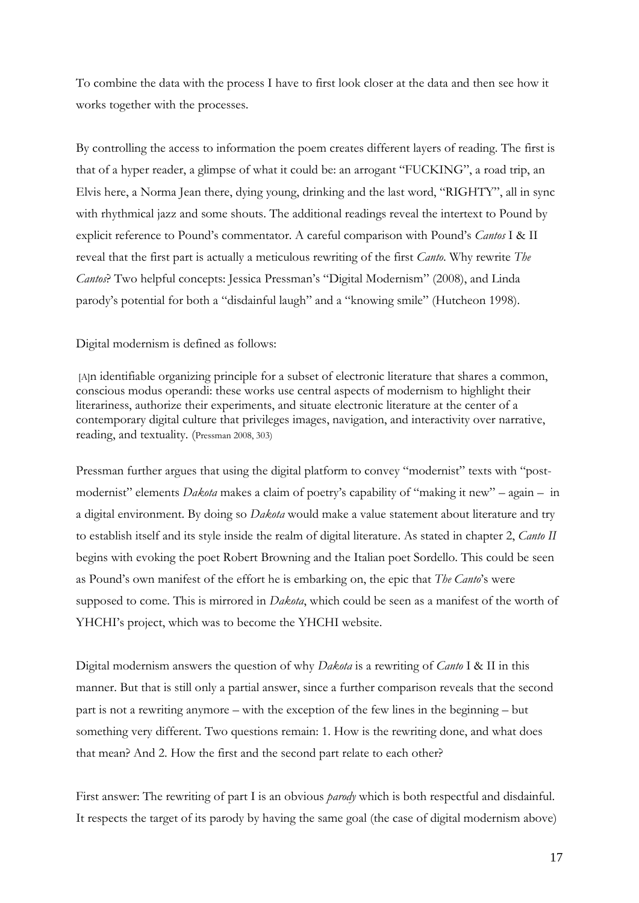To combine the data with the process I have to first look closer at the data and then see how it works together with the processes.

By controlling the access to information the poem creates different layers of reading. The first is that of a hyper reader, a glimpse of what it could be: an arrogant "FUCKING", a road trip, an Elvis here, a Norma Jean there, dying young, drinking and the last word, "RIGHTY", all in sync with rhythmical jazz and some shouts. The additional readings reveal the intertext to Pound by explicit reference to Pound's commentator. A careful comparison with Pound's *Cantos* I & II reveal that the first part is actually a meticulous rewriting of the first *Canto*. Why rewrite *The Cantos*? Two helpful concepts: Jessica Pressman's "Digital Modernism" (2008), and Linda parody's potential for both a "disdainful laugh" and a "knowing smile" (Hutcheon 1998).

### Digital modernism is defined as follows:

[A]n identifiable organizing principle for a subset of electronic literature that shares a common, conscious modus operandi: these works use central aspects of modernism to highlight their literariness, authorize their experiments, and situate electronic literature at the center of a contemporary digital culture that privileges images, navigation, and interactivity over narrative, reading, and textuality. (Pressman 2008, 303)

Pressman further argues that using the digital platform to convey "modernist" texts with "postmodernist" elements *Dakota* makes a claim of poetry's capability of "making it new" – again – in a digital environment. By doing so *Dakota* would make a value statement about literature and try to establish itself and its style inside the realm of digital literature. As stated in chapter 2, *Canto II* begins with evoking the poet Robert Browning and the Italian poet Sordello. This could be seen as Pound's own manifest of the effort he is embarking on, the epic that *The Canto*'s were supposed to come. This is mirrored in *Dakota*, which could be seen as a manifest of the worth of YHCHI's project, which was to become the YHCHI website.

Digital modernism answers the question of why *Dakota* is a rewriting of *Canto* I & II in this manner. But that is still only a partial answer, since a further comparison reveals that the second part is not a rewriting anymore – with the exception of the few lines in the beginning – but something very different. Two questions remain: 1. How is the rewriting done, and what does that mean? And 2. How the first and the second part relate to each other?

First answer: The rewriting of part I is an obvious *parody* which is both respectful and disdainful. It respects the target of its parody by having the same goal (the case of digital modernism above)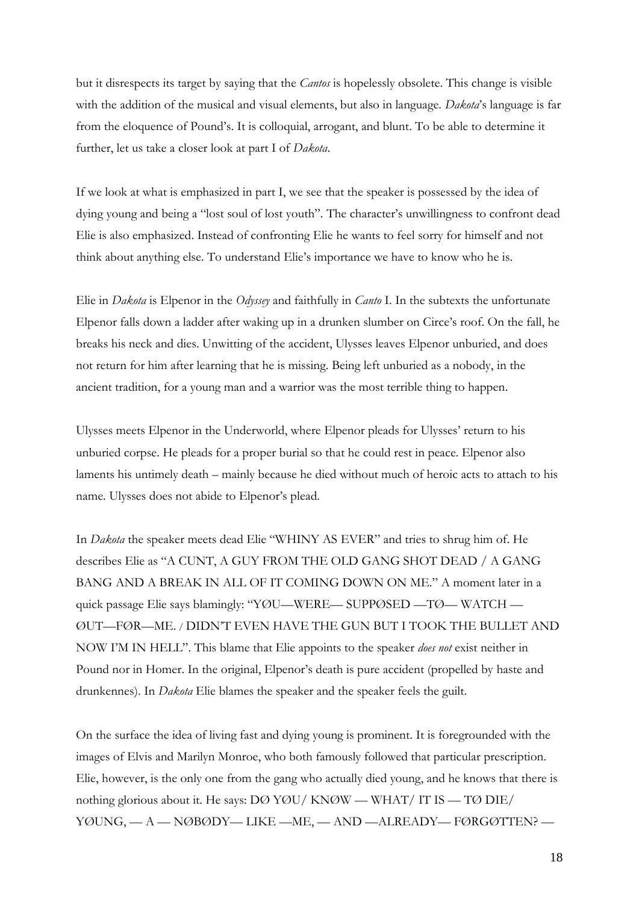but it disrespects its target by saying that the *Cantos* is hopelessly obsolete. This change is visible with the addition of the musical and visual elements, but also in language. *Dakota*'s language is far from the eloquence of Pound's. It is colloquial, arrogant, and blunt. To be able to determine it further, let us take a closer look at part I of *Dakota*.

If we look at what is emphasized in part I, we see that the speaker is possessed by the idea of dying young and being a "lost soul of lost youth". The character's unwillingness to confront dead Elie is also emphasized. Instead of confronting Elie he wants to feel sorry for himself and not think about anything else. To understand Elie's importance we have to know who he is.

Elie in *Dakota* is Elpenor in the *Odyssey* and faithfully in *Canto* I. In the subtexts the unfortunate Elpenor falls down a ladder after waking up in a drunken slumber on Circe's roof. On the fall, he breaks his neck and dies. Unwitting of the accident, Ulysses leaves Elpenor unburied, and does not return for him after learning that he is missing. Being left unburied as a nobody, in the ancient tradition, for a young man and a warrior was the most terrible thing to happen.

Ulysses meets Elpenor in the Underworld, where Elpenor pleads for Ulysses' return to his unburied corpse. He pleads for a proper burial so that he could rest in peace. Elpenor also laments his untimely death – mainly because he died without much of heroic acts to attach to his name. Ulysses does not abide to Elpenor's plead.

In *Dakota* the speaker meets dead Elie "WHINY AS EVER" and tries to shrug him of. He describes Elie as "A CUNT, A GUY FROM THE OLD GANG SHOT DEAD / A GANG BANG AND A BREAK IN ALL OF IT COMING DOWN ON ME." A moment later in a quick passage Elie says blamingly: "YØU—WERE— SUPPØSED —TØ— WATCH — ØUT—FØR—ME. / DIDN'T EVEN HAVE THE GUN BUT I TOOK THE BULLET AND NOW I'M IN HELL". This blame that Elie appoints to the speaker *does not* exist neither in Pound nor in Homer. In the original, Elpenor's death is pure accident (propelled by haste and drunkennes). In *Dakota* Elie blames the speaker and the speaker feels the guilt.

On the surface the idea of living fast and dying young is prominent. It is foregrounded with the images of Elvis and Marilyn Monroe, who both famously followed that particular prescription. Elie, however, is the only one from the gang who actually died young, and he knows that there is nothing glorious about it. He says: DØ YØU/ KNØW — WHAT/ IT IS — TØ DIE/ YØUNG, — A — NØBØDY— LIKE —ME, — AND —ALREADY— FØRGØTTEN? —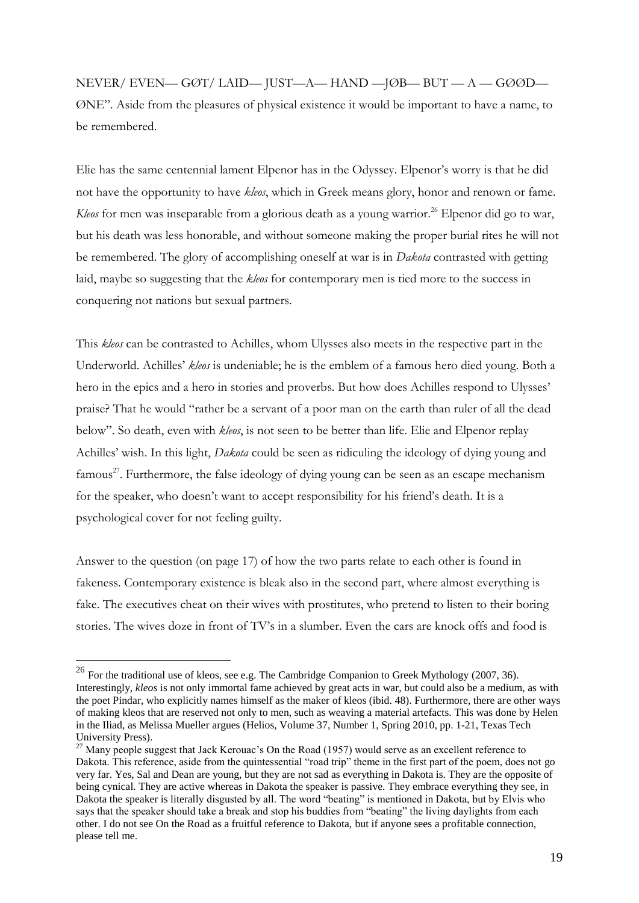NEVER/ EVEN— GØT/ LAID— JUST—A— HAND —JØB— BUT — A — GØØD— ØNE". Aside from the pleasures of physical existence it would be important to have a name, to be remembered.

Elie has the same centennial lament Elpenor has in the Odyssey. Elpenor's worry is that he did not have the opportunity to have *kleos*, which in Greek means glory, honor and renown or fame. *Kleos* for men was inseparable from a glorious death as a young warrior.<sup>26</sup> Elpenor did go to war, but his death was less honorable, and without someone making the proper burial rites he will not be remembered. The glory of accomplishing oneself at war is in *Dakota* contrasted with getting laid, maybe so suggesting that the *kleos* for contemporary men is tied more to the success in conquering not nations but sexual partners.

This *kleos* can be contrasted to Achilles, whom Ulysses also meets in the respective part in the Underworld. Achilles' *kleos* is undeniable; he is the emblem of a famous hero died young. Both a hero in the epics and a hero in stories and proverbs. But how does Achilles respond to Ulysses' praise? That he would "rather be a servant of a poor man on the earth than ruler of all the dead below". So death, even with *kleos*, is not seen to be better than life. Elie and Elpenor replay Achilles' wish. In this light, *Dakota* could be seen as ridiculing the ideology of dying young and famous<sup>27</sup>. Furthermore, the false ideology of dying young can be seen as an escape mechanism for the speaker, who doesn't want to accept responsibility for his friend's death. It is a psychological cover for not feeling guilty.

Answer to the question (on page 17) of how the two parts relate to each other is found in fakeness. Contemporary existence is bleak also in the second part, where almost everything is fake. The executives cheat on their wives with prostitutes, who pretend to listen to their boring stories. The wives doze in front of TV's in a slumber. Even the cars are knock offs and food is

<sup>&</sup>lt;sup>26</sup> For the traditional use of kleos, see e.g. The Cambridge Companion to Greek Mythology (2007, 36). Interestingly, *kleos* is not only immortal fame achieved by great acts in war, but could also be a medium, as with the poet Pindar, who explicitly names himself as the maker of kleos (ibid. 48). Furthermore, there are other ways of making kleos that are reserved not only to men, such as weaving a material artefacts. This was done by Helen in the Iliad, as [Melissa Mueller](http://muse.jhu.edu.libproxy.helsinki.fi/results?section1=author&search1=Melissa%20Mueller) argues (Helios, Volume 37, Number 1, Spring 2010, pp. 1-21, Texas Tech University Press).

 $^{27}$  Many people suggest that Jack Kerouac's On the Road (1957) would serve as an excellent reference to Dakota. This reference, aside from the quintessential "road trip" theme in the first part of the poem, does not go very far. Yes, Sal and Dean are young, but they are not sad as everything in Dakota is. They are the opposite of being cynical. They are active whereas in Dakota the speaker is passive. They embrace everything they see, in Dakota the speaker is literally disgusted by all. The word "beating" is mentioned in Dakota, but by Elvis who says that the speaker should take a break and stop his buddies from "beating" the living daylights from each other. I do not see On the Road as a fruitful reference to Dakota, but if anyone sees a profitable connection, please tell me.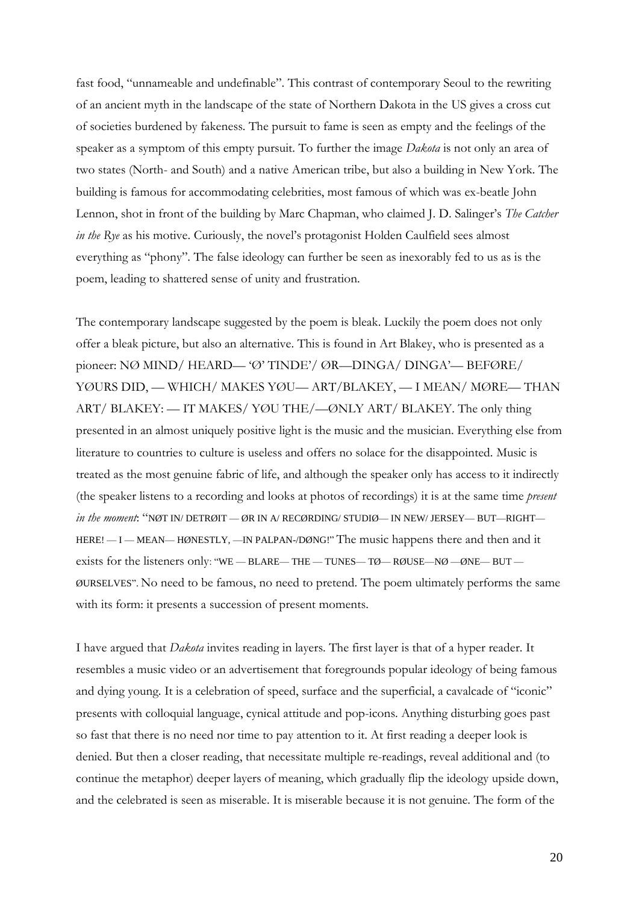fast food, "unnameable and undefinable". This contrast of contemporary Seoul to the rewriting of an ancient myth in the landscape of the state of Northern Dakota in the US gives a cross cut of societies burdened by fakeness. The pursuit to fame is seen as empty and the feelings of the speaker as a symptom of this empty pursuit. To further the image *Dakota* is not only an area of two states (North- and South) and a native American tribe, but also a building in New York. The building is famous for accommodating celebrities, most famous of which was ex-beatle John Lennon, shot in front of the building by Marc Chapman, who claimed J. D. Salinger's *The Catcher in the Rye* as his motive. Curiously, the novel's protagonist Holden Caulfield sees almost everything as "phony". The false ideology can further be seen as inexorably fed to us as is the poem, leading to shattered sense of unity and frustration.

The contemporary landscape suggested by the poem is bleak. Luckily the poem does not only offer a bleak picture, but also an alternative. This is found in Art Blakey, who is presented as a pioneer: NØ MIND/ HEARD— 'Ø' TINDE'/ ØR—DINGA/ DINGA'— BEFØRE/ YØURS DID, — WHICH/ MAKES YØU— ART/BLAKEY, — I MEAN/ MØRE— THAN ART/ BLAKEY: — IT MAKES/ YØU THE/—ØNLY ART/ BLAKEY. The only thing presented in an almost uniquely positive light is the music and the musician. Everything else from literature to countries to culture is useless and offers no solace for the disappointed. Music is treated as the most genuine fabric of life, and although the speaker only has access to it indirectly (the speaker listens to a recording and looks at photos of recordings) it is at the same time *present in the moment*: "NØT IN/ DETRØIT — ØR IN A/ RECØRDING/ STUDIØ— IN NEW/ JERSEY— BUT—RIGHT— HERE! — I — MEAN— HØNESTLY, —IN PALPAN-/DØNG!" The music happens there and then and it exists for the listeners only: "WE — BLARE— THE — TUNES— TØ— RØUSE—NØ —ØNE— BUT — ØURSELVES". No need to be famous, no need to pretend. The poem ultimately performs the same with its form: it presents a succession of present moments.

I have argued that *Dakota* invites reading in layers. The first layer is that of a hyper reader. It resembles a music video or an advertisement that foregrounds popular ideology of being famous and dying young. It is a celebration of speed, surface and the superficial, a cavalcade of "iconic" presents with colloquial language, cynical attitude and pop-icons. Anything disturbing goes past so fast that there is no need nor time to pay attention to it. At first reading a deeper look is denied. But then a closer reading, that necessitate multiple re-readings, reveal additional and (to continue the metaphor) deeper layers of meaning, which gradually flip the ideology upside down, and the celebrated is seen as miserable. It is miserable because it is not genuine. The form of the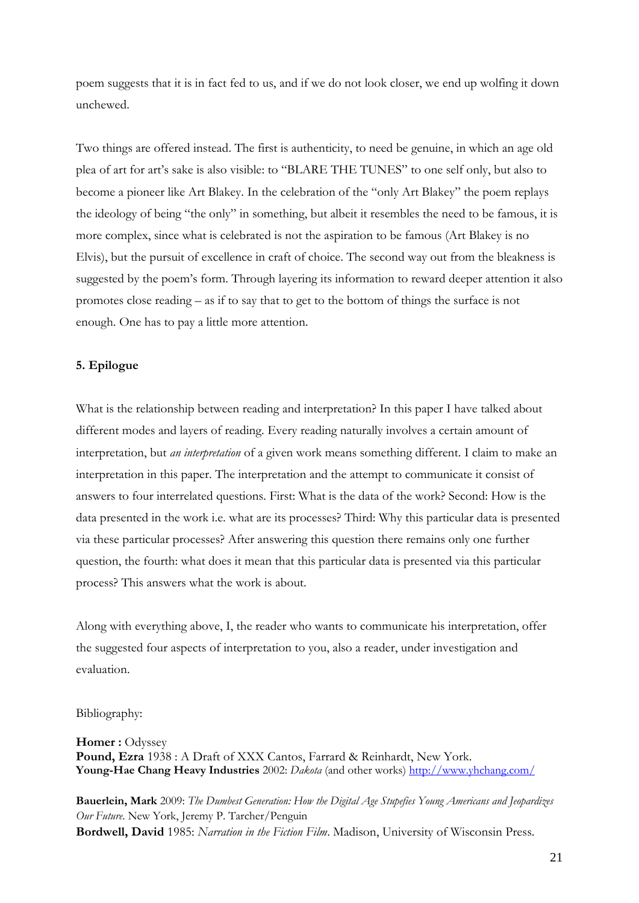poem suggests that it is in fact fed to us, and if we do not look closer, we end up wolfing it down unchewed.

Two things are offered instead. The first is authenticity, to need be genuine, in which an age old plea of art for art's sake is also visible: to "BLARE THE TUNES" to one self only, but also to become a pioneer like Art Blakey. In the celebration of the "only Art Blakey" the poem replays the ideology of being "the only" in something, but albeit it resembles the need to be famous, it is more complex, since what is celebrated is not the aspiration to be famous (Art Blakey is no Elvis), but the pursuit of excellence in craft of choice. The second way out from the bleakness is suggested by the poem's form. Through layering its information to reward deeper attention it also promotes close reading – as if to say that to get to the bottom of things the surface is not enough. One has to pay a little more attention.

### **5. Epilogue**

What is the relationship between reading and interpretation? In this paper I have talked about different modes and layers of reading. Every reading naturally involves a certain amount of interpretation, but *an interpretation* of a given work means something different. I claim to make an interpretation in this paper. The interpretation and the attempt to communicate it consist of answers to four interrelated questions. First: What is the data of the work? Second: How is the data presented in the work i.e. what are its processes? Third: Why this particular data is presented via these particular processes? After answering this question there remains only one further question, the fourth: what does it mean that this particular data is presented via this particular process? This answers what the work is about.

Along with everything above, I, the reader who wants to communicate his interpretation, offer the suggested four aspects of interpretation to you, also a reader, under investigation and evaluation.

### Bibliography:

**Homer :** Odyssey **Pound, Ezra** 1938 : A Draft of XXX Cantos, Farrard & Reinhardt, New York. **Young-Hae Chang Heavy Industries** 2002: *Dakota* (and other works)<http://www.yhchang.com/>

**Bauerlein, Mark** 2009: *The Dumbest Generation: How the Digital Age Stupefies Young Americans and Jeopardizes Our Future*. New York, Jeremy P. Tarcher/Penguin **Bordwell, David** 1985: *Narration in the Fiction Film*. Madison, University of Wisconsin Press.